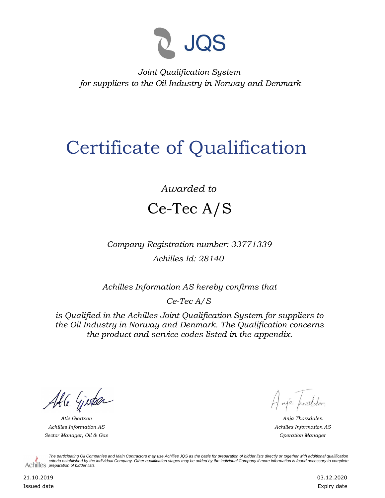

*Joint Qualification System for suppliers to the Oil Industry in Norway and Denmark*

## Certificate of Qualification

## *Awarded to* Ce-Tec A/S

*Company Registration number: 33771339 Achilles Id: 28140*

*Achilles Information AS hereby confirms that*

*Ce-Tec A/S*

*is Qualified in the Achilles Joint Qualification System for suppliers to the Oil Industry in Norway and Denmark. The Qualification concerns the product and service codes listed in the appendix.*

Able Gister

*Achilles Information AS Sector Manager, Oil & Gas Operation Manager*

Hajá prorodden

*Atle Gjertsen Anja Thorsdalen Achilles Information AS*

*The participating Oil Companies and Main Contractors may use Achilles JQS as the basis for preparation of bidder lists directly or together with additional qualification criteria established by the individual Company. Other qualification stages may be added by the individual Company if more information is found necessary to complete*  Achilles *preparation of bidder lists*.

21.10.2019 Issued date